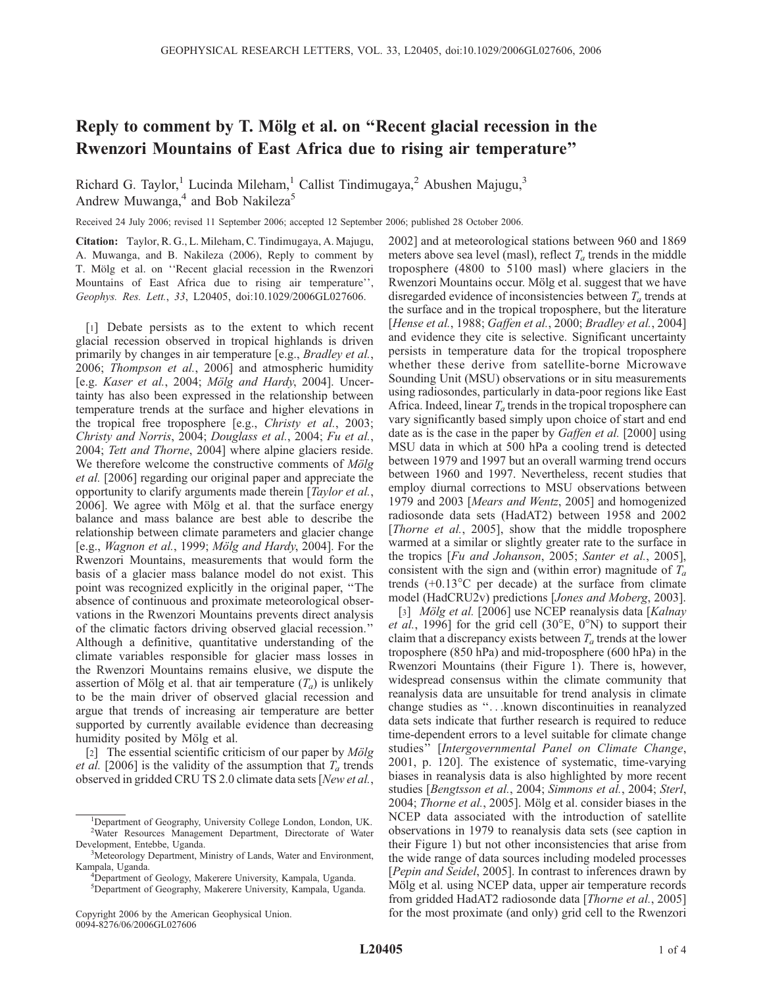## Reply to comment by T. Mölg et al. on "Recent glacial recession in the Rwenzori Mountains of East Africa due to rising air temperature''

Richard G. Taylor,<sup>1</sup> Lucinda Mileham,<sup>1</sup> Callist Tindimugaya,<sup>2</sup> Abushen Majugu,<sup>3</sup> Andrew Muwanga,<sup>4</sup> and Bob Nakileza<sup>5</sup>

Received 24 July 2006; revised 11 September 2006; accepted 12 September 2006; published 28 October 2006.

Citation: Taylor, R. G., L. Mileham, C. Tindimugaya, A. Majugu, A. Muwanga, and B. Nakileza (2006), Reply to comment by T. Mölg et al. on "Recent glacial recession in the Rwenzori Mountains of East Africa due to rising air temperature'', Geophys. Res. Lett., 33, L20405, doi:10.1029/2006GL027606.

[1] Debate persists as to the extent to which recent glacial recession observed in tropical highlands is driven primarily by changes in air temperature [e.g., *Bradley et al.*, 2006; Thompson et al., 2006] and atmospheric humidity [e.g. Kaser et al., 2004; Mölg and Hardy, 2004]. Uncertainty has also been expressed in the relationship between temperature trends at the surface and higher elevations in the tropical free troposphere [e.g., *Christy et al.*, 2003; Christy and Norris, 2004; Douglass et al., 2004; Fu et al., 2004; Tett and Thorne, 2004] where alpine glaciers reside. We therefore welcome the constructive comments of  $M\ddot{o}lg$ et al. [2006] regarding our original paper and appreciate the opportunity to clarify arguments made therein [Taylor et al., 2006]. We agree with Mölg et al. that the surface energy balance and mass balance are best able to describe the relationship between climate parameters and glacier change [e.g., Wagnon et al., 1999; Mölg and Hardy, 2004]. For the Rwenzori Mountains, measurements that would form the basis of a glacier mass balance model do not exist. This point was recognized explicitly in the original paper, ''The absence of continuous and proximate meteorological observations in the Rwenzori Mountains prevents direct analysis of the climatic factors driving observed glacial recession.'' Although a definitive, quantitative understanding of the climate variables responsible for glacier mass losses in the Rwenzori Mountains remains elusive, we dispute the assertion of Mölg et al. that air temperature  $(T_a)$  is unlikely to be the main driver of observed glacial recession and argue that trends of increasing air temperature are better supported by currently available evidence than decreasing humidity posited by Mölg et al.

[2] The essential scientific criticism of our paper by  $M\ddot{o}lg$ *et al.* [2006] is the validity of the assumption that  $T_a$  trends observed in gridded CRU TS 2.0 climate data sets [New et al., 2002] and at meteorological stations between 960 and 1869 meters above sea level (masl), reflect  $T_a$  trends in the middle troposphere (4800 to 5100 masl) where glaciers in the Rwenzori Mountains occur. Mölg et al. suggest that we have disregarded evidence of inconsistencies between  $T_a$  trends at the surface and in the tropical troposphere, but the literature [Hense et al., 1988; Gaffen et al., 2000; Bradley et al., 2004] and evidence they cite is selective. Significant uncertainty persists in temperature data for the tropical troposphere whether these derive from satellite-borne Microwave Sounding Unit (MSU) observations or in situ measurements using radiosondes, particularly in data-poor regions like East Africa. Indeed, linear  $T_a$  trends in the tropical troposphere can vary significantly based simply upon choice of start and end date as is the case in the paper by *Gaffen et al.* [2000] using MSU data in which at 500 hPa a cooling trend is detected between 1979 and 1997 but an overall warming trend occurs between 1960 and 1997. Nevertheless, recent studies that employ diurnal corrections to MSU observations between 1979 and 2003 [Mears and Wentz, 2005] and homogenized radiosonde data sets (HadAT2) between 1958 and 2002 [*Thorne et al.*, 2005], show that the middle troposphere warmed at a similar or slightly greater rate to the surface in the tropics [Fu and Johanson, 2005; Santer et al., 2005], consistent with the sign and (within error) magnitude of  $T_a$ trends  $(+0.13^{\circ}$ C per decade) at the surface from climate model (HadCRU2v) predictions [Jones and Moberg, 2003].

[3] *Mölg et al.* [2006] use NCEP reanalysis data [Kalnay] *et al.*, 1996] for the grid cell  $(30^{\circ}E, 0^{\circ}N)$  to support their claim that a discrepancy exists between  $T_a$  trends at the lower troposphere (850 hPa) and mid-troposphere (600 hPa) in the Rwenzori Mountains (their Figure 1). There is, however, widespread consensus within the climate community that reanalysis data are unsuitable for trend analysis in climate change studies as ''...known discontinuities in reanalyzed data sets indicate that further research is required to reduce time-dependent errors to a level suitable for climate change studies" [Intergovernmental Panel on Climate Change, 2001, p. 120]. The existence of systematic, time-varying biases in reanalysis data is also highlighted by more recent studies [Bengtsson et al., 2004; Simmons et al., 2004; Sterl, 2004; *Thorne et al.*, 2005]. Mölg et al. consider biases in the NCEP data associated with the introduction of satellite observations in 1979 to reanalysis data sets (see caption in their Figure 1) but not other inconsistencies that arise from the wide range of data sources including modeled processes [Pepin and Seidel, 2005]. In contrast to inferences drawn by Mölg et al. using NCEP data, upper air temperature records from gridded HadAT2 radiosonde data [Thorne et al., 2005] for the most proximate (and only) grid cell to the Rwenzori

<sup>&</sup>lt;sup>1</sup>Department of Geography, University College London, London, UK. <sup>2</sup>Water Resources Management Department, Directorate of Water Development, Entebbe, Uganda.

<sup>&</sup>lt;sup>3</sup>Meteorology Department, Ministry of Lands, Water and Environment, Kampala, Uganda. <sup>4</sup>

<sup>&</sup>lt;sup>4</sup>Department of Geology, Makerere University, Kampala, Uganda.

<sup>5</sup> Department of Geography, Makerere University, Kampala, Uganda.

Copyright 2006 by the American Geophysical Union. 0094-8276/06/2006GL027606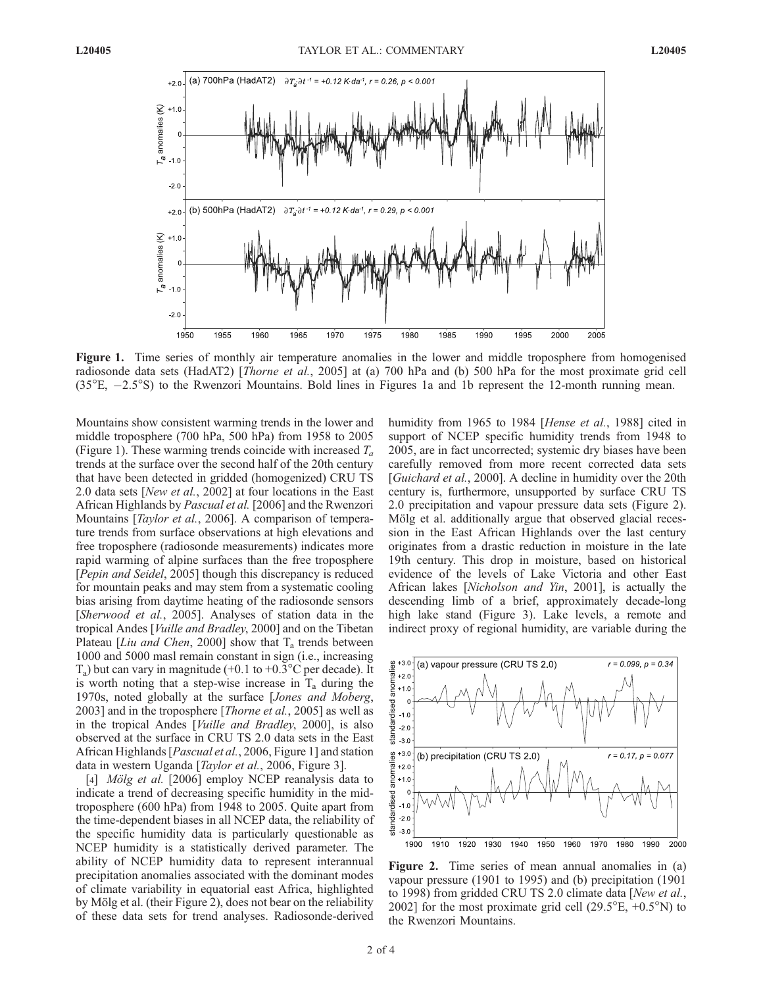

Figure 1. Time series of monthly air temperature anomalies in the lower and middle troposphere from homogenised radiosonde data sets (HadAT2) [*Thorne et al.*, 2005] at (a) 700 hPa and (b) 500 hPa for the most proximate grid cell  $(35^{\circ}E, -2.5^{\circ}S)$  to the Rwenzori Mountains. Bold lines in Figures 1a and 1b represent the 12-month running mean.

Mountains show consistent warming trends in the lower and middle troposphere (700 hPa, 500 hPa) from 1958 to 2005 (Figure 1). These warming trends coincide with increased  $T_a$ trends at the surface over the second half of the 20th century that have been detected in gridded (homogenized) CRU TS 2.0 data sets [New et al., 2002] at four locations in the East African Highlands by Pascual et al. [2006] and the Rwenzori Mountains [*Taylor et al.*, 2006]. A comparison of temperature trends from surface observations at high elevations and free troposphere (radiosonde measurements) indicates more rapid warming of alpine surfaces than the free troposphere [Pepin and Seidel, 2005] though this discrepancy is reduced for mountain peaks and may stem from a systematic cooling bias arising from daytime heating of the radiosonde sensors [Sherwood et al., 2005]. Analyses of station data in the tropical Andes [Vuille and Bradley, 2000] and on the Tibetan Plateau [Liu and Chen, 2000] show that  $T_a$  trends between 1000 and 5000 masl remain constant in sign (i.e., increasing  $T_a$ ) but can vary in magnitude (+0.1 to +0.3°C per decade). It is worth noting that a step-wise increase in  $T_a$  during the 1970s, noted globally at the surface [Jones and Moberg, 2003] and in the troposphere [*Thorne et al.*, 2005] as well as in the tropical Andes [Vuille and Bradley, 2000], is also observed at the surface in CRU TS 2.0 data sets in the East African Highlands [Pascual et al., 2006, Figure 1] and station data in western Uganda [Taylor et al., 2006, Figure 3].

[4] *Mölg et al.* [2006] employ NCEP reanalysis data to indicate a trend of decreasing specific humidity in the midtroposphere (600 hPa) from 1948 to 2005. Quite apart from the time-dependent biases in all NCEP data, the reliability of the specific humidity data is particularly questionable as NCEP humidity is a statistically derived parameter. The ability of NCEP humidity data to represent interannual precipitation anomalies associated with the dominant modes of climate variability in equatorial east Africa, highlighted by Mölg et al. (their Figure 2), does not bear on the reliability of these data sets for trend analyses. Radiosonde-derived

humidity from 1965 to 1984 [Hense et al., 1988] cited in support of NCEP specific humidity trends from 1948 to 2005, are in fact uncorrected; systemic dry biases have been carefully removed from more recent corrected data sets [Guichard et al., 2000]. A decline in humidity over the 20th century is, furthermore, unsupported by surface CRU TS 2.0 precipitation and vapour pressure data sets (Figure 2). Mölg et al. additionally argue that observed glacial recession in the East African Highlands over the last century originates from a drastic reduction in moisture in the late 19th century. This drop in moisture, based on historical evidence of the levels of Lake Victoria and other East African lakes [Nicholson and Yin, 2001], is actually the descending limb of a brief, approximately decade-long high lake stand (Figure 3). Lake levels, a remote and indirect proxy of regional humidity, are variable during the



Figure 2. Time series of mean annual anomalies in (a) vapour pressure (1901 to 1995) and (b) precipitation (1901 to 1998) from gridded CRU TS 2.0 climate data [New et al., 2002] for the most proximate grid cell  $(29.5^{\circ}E, +0.5^{\circ}N)$  to the Rwenzori Mountains.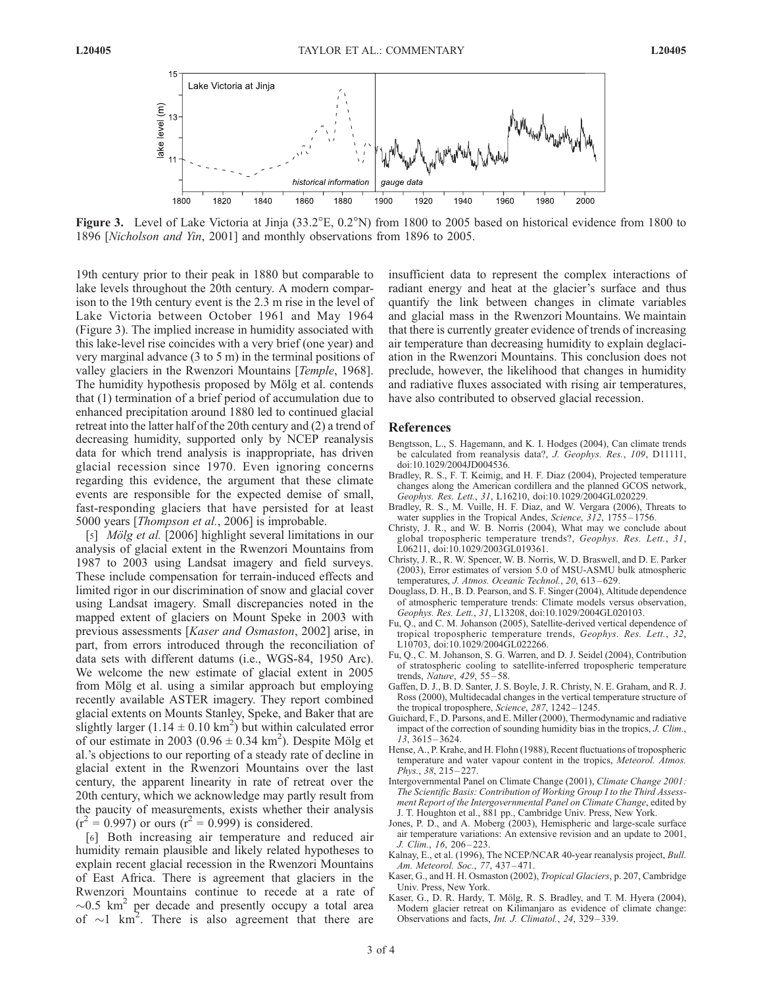

**Figure 3.** Level of Lake Victoria at Jinja  $(33.2^{\circ}E, 0.2^{\circ}N)$  from 1800 to 2005 based on historical evidence from 1800 to 1896 [Nicholson and Yin, 2001] and monthly observations from 1896 to 2005.

19th century prior to their peak in 1880 but comparable to lake levels throughout the 20th century. A modern comparison to the 19th century event is the 2.3 m rise in the level of Lake Victoria between October 1961 and May 1964 (Figure 3). The implied increase in humidity associated with this lake-level rise coincides with a very brief (one year) and very marginal advance (3 to 5 m) in the terminal positions of valley glaciers in the Rwenzori Mountains [Temple, 1968]. The humidity hypothesis proposed by Mölg et al. contends that (1) termination of a brief period of accumulation due to enhanced precipitation around 1880 led to continued glacial retreat into the latter half of the 20th century and (2) a trend of decreasing humidity, supported only by NCEP reanalysis data for which trend analysis is inappropriate, has driven glacial recession since 1970. Even ignoring concerns regarding this evidence, the argument that these climate events are responsible for the expected demise of small, fast-responding glaciers that have persisted for at least 5000 years [Thompson et al., 2006] is improbable.

[5] *Mölg et al.* [2006] highlight several limitations in our analysis of glacial extent in the Rwenzori Mountains from 1987 to 2003 using Landsat imagery and field surveys. These include compensation for terrain-induced effects and limited rigor in our discrimination of snow and glacial cover using Landsat imagery. Small discrepancies noted in the mapped extent of glaciers on Mount Speke in 2003 with previous assessments [Kaser and Osmaston, 2002] arise, in part, from errors introduced through the reconciliation of data sets with different datums (i.e., WGS-84, 1950 Arc). We welcome the new estimate of glacial extent in 2005 from Mölg et al. using a similar approach but employing recently available ASTER imagery. They report combined glacial extents on Mounts Stanley, Speke, and Baker that are slightly larger  $(1.14 \pm 0.10 \text{ km}^2)$  but within calculated error of our estimate in 2003 (0.96  $\pm$  0.34 km<sup>2</sup>). Despite Mölg et al.'s objections to our reporting of a steady rate of decline in glacial extent in the Rwenzori Mountains over the last century, the apparent linearity in rate of retreat over the 20th century, which we acknowledge may partly result from the paucity of measurements, exists whether their analysis  $(r^2 = 0.997)$  or ours  $(r^2 = 0.999)$  is considered.

[6] Both increasing air temperature and reduced air humidity remain plausible and likely related hypotheses to explain recent glacial recession in the Rwenzori Mountains of East Africa. There is agreement that glaciers in the Rwenzori Mountains continue to recede at a rate of  $\sim$ 0.5 km<sup>2</sup> per decade and presently occupy a total area of  $\sim$ 1 km<sup>2</sup>. There is also agreement that there are

insufficient data to represent the complex interactions of radiant energy and heat at the glacier's surface and thus quantify the link between changes in climate variables and glacial mass in the Rwenzori Mountains. We maintain that there is currently greater evidence of trends of increasing air temperature than decreasing humidity to explain deglaciation in the Rwenzori Mountains. This conclusion does not preclude, however, the likelihood that changes in humidity and radiative fluxes associated with rising air temperatures, have also contributed to observed glacial recession.

## References

- Bengtsson, L., S. Hagemann, and K. I. Hodges (2004), Can climate trends be calculated from reanalysis data?, J. Geophys. Res., 109, D11111, doi:10.1029/2004JD004536.
- Bradley, R. S., F. T. Keimig, and H. F. Diaz (2004), Projected temperature changes along the American cordillera and the planned GCOS network, Geophys. Res. Lett., 31, L16210, doi:10.1029/2004GL020229.
- Bradley, R. S., M. Vuille, H. F. Diaz, and W. Vergara (2006), Threats to water supplies in the Tropical Andes, Science, 312, 1755-1756.
- Christy, J. R., and W. B. Norris (2004), What may we conclude about global tropospheric temperature trends?, Geophys. Res. Lett., 31, L06211, doi:10.1029/2003GL019361.
- Christy, J. R., R. W. Spencer, W. B. Norris, W. D. Braswell, and D. E. Parker (2003), Error estimates of version 5.0 of MSU-ASMU bulk atmospheric temperatures, J. Atmos. Oceanic Technol., 20, 613-629.
- Douglass, D. H., B. D. Pearson, and S. F. Singer (2004), Altitude dependence of atmospheric temperature trends: Climate models versus observation, Geophys. Res. Lett., 31, L13208, doi:10.1029/2004GL020103.
- Fu, Q., and C. M. Johanson (2005), Satellite-derived vertical dependence of tropical tropospheric temperature trends, Geophys. Res. Lett., 32, L10703, doi:10.1029/2004GL022266.
- Fu, Q., C. M. Johanson, S. G. Warren, and D. J. Seidel (2004), Contribution of stratospheric cooling to satellite-inferred tropospheric temperature trends, Nature, 429, 55 – 58.
- Gaffen, D. J., B. D. Santer, J. S. Boyle, J. R. Christy, N. E. Graham, and R. J. Ross (2000), Multidecadal changes in the vertical temperature structure of the tropical troposphere, Science, 287, 1242-1245.
- Guichard, F., D. Parsons, and E. Miller (2000), Thermodynamic and radiative impact of the correction of sounding humidity bias in the tropics, *J. Clim.*,  $13, 3615 - 3624.$
- Hense, A., P. Krahe, and H. Flohn (1988), Recent fluctuations of tropospheric temperature and water vapour content in the tropics, Meteorol. Atmos. Phys., 38, 215 – 227.
- Intergovernmental Panel on Climate Change (2001), Climate Change 2001: The Scientific Basis: Contribution of Working Group I to the Third Assessment Report of the Intergovernmental Panel on Climate Change, edited by J. T. Houghton et al., 881 pp., Cambridge Univ. Press, New York.
- Jones, P. D., and A. Moberg (2003), Hemispheric and large-scale surface air temperature variations: An extensive revision and an update to 2001, J. Clim., 16, 206 – 223.
- Kalnay, E., et al. (1996), The NCEP/NCAR 40-year reanalysis project, Bull. Am. Meteorol. Soc., 77, 437 – 471.
- Kaser, G., and H. H. Osmaston (2002), Tropical Glaciers, p. 207, Cambridge Univ. Press, New York.
- Kaser, G., D. R. Hardy, T. Mölg, R. S. Bradley, and T. M. Hyera (2004), Modern glacier retreat on Kilimanjaro as evidence of climate change: Observations and facts, *Int. J. Climatol.*, 24, 329-339.